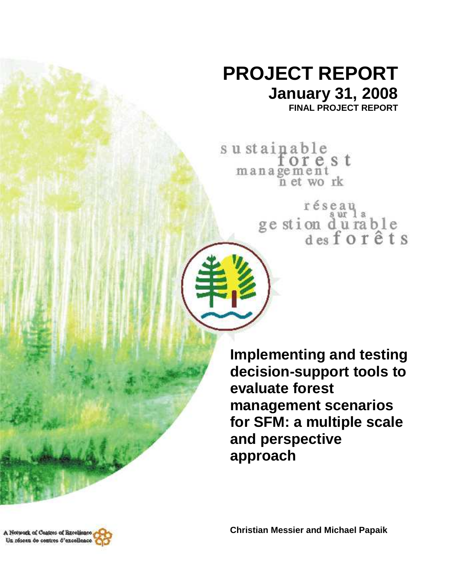## **PROJECT REPORT January 31, 2008**

**FINAL PROJECT REPORT** 

sustainable<br>forest management<br>n et work

réseau<br>ge stion d'urable<br>des forêts

**Implementing and testing decision-support tools to evaluate forest management scenarios for SFM: a multiple scale and perspective approach**

**Christian Messier and Michael Papaik** 

A Notwork of Cantres of Breeklence, Un réseau de contres d'excellence

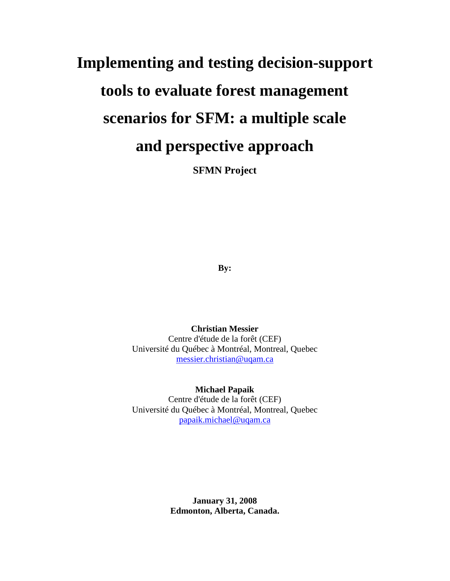# **Implementing and testing decision-support tools to evaluate forest management scenarios for SFM: a multiple scale and perspective approach**

**SFMN Project** 

**By:** 

**Christian Messier**  Centre d'étude de la forêt (CEF) Université du Québec à Montréal, Montreal, Quebec messier.christian@uqam.ca

**Michael Papaik**  Centre d'étude de la forêt (CEF) Université du Québec à Montréal, Montreal, Quebec papaik.michael@uqam.ca

> **January 31, 2008 Edmonton, Alberta, Canada.**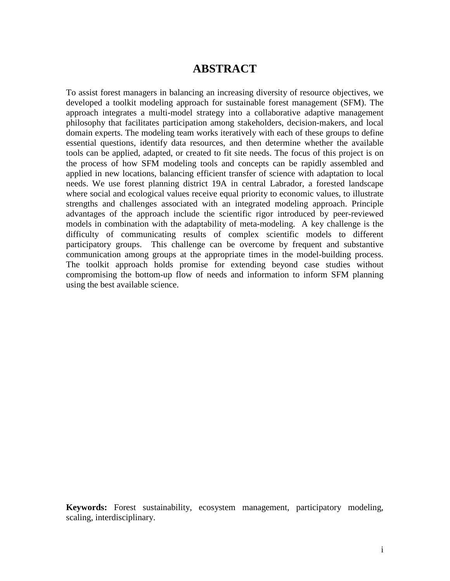## **ABSTRACT**

To assist forest managers in balancing an increasing diversity of resource objectives, we developed a toolkit modeling approach for sustainable forest management (SFM). The approach integrates a multi-model strategy into a collaborative adaptive management philosophy that facilitates participation among stakeholders, decision-makers, and local domain experts. The modeling team works iteratively with each of these groups to define essential questions, identify data resources, and then determine whether the available tools can be applied, adapted, or created to fit site needs. The focus of this project is on the process of how SFM modeling tools and concepts can be rapidly assembled and applied in new locations, balancing efficient transfer of science with adaptation to local needs. We use forest planning district 19A in central Labrador, a forested landscape where social and ecological values receive equal priority to economic values, to illustrate strengths and challenges associated with an integrated modeling approach. Principle advantages of the approach include the scientific rigor introduced by peer-reviewed models in combination with the adaptability of meta-modeling. A key challenge is the difficulty of communicating results of complex scientific models to different participatory groups. This challenge can be overcome by frequent and substantive communication among groups at the appropriate times in the model-building process. The toolkit approach holds promise for extending beyond case studies without compromising the bottom-up flow of needs and information to inform SFM planning using the best available science.

**Keywords:** Forest sustainability, ecosystem management, participatory modeling, scaling, interdisciplinary.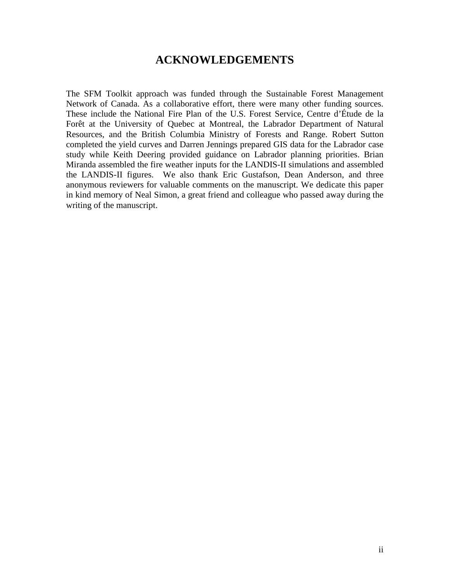## **ACKNOWLEDGEMENTS**

The SFM Toolkit approach was funded through the Sustainable Forest Management Network of Canada. As a collaborative effort, there were many other funding sources. These include the National Fire Plan of the U.S. Forest Service, Centre d'Étude de la Forêt at the University of Quebec at Montreal, the Labrador Department of Natural Resources, and the British Columbia Ministry of Forests and Range. Robert Sutton completed the yield curves and Darren Jennings prepared GIS data for the Labrador case study while Keith Deering provided guidance on Labrador planning priorities. Brian Miranda assembled the fire weather inputs for the LANDIS-II simulations and assembled the LANDIS-II figures. We also thank Eric Gustafson, Dean Anderson, and three anonymous reviewers for valuable comments on the manuscript. We dedicate this paper in kind memory of Neal Simon, a great friend and colleague who passed away during the writing of the manuscript.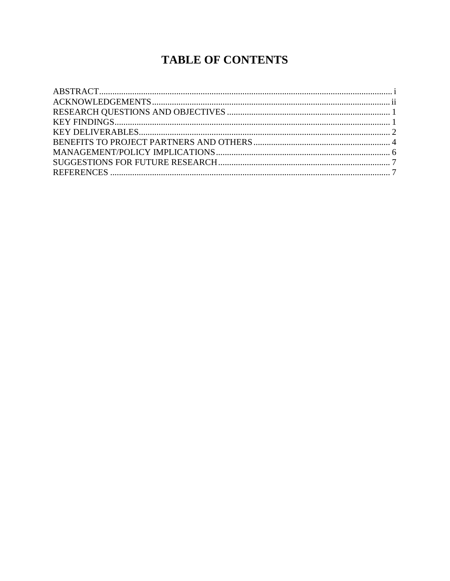## **TABLE OF CONTENTS**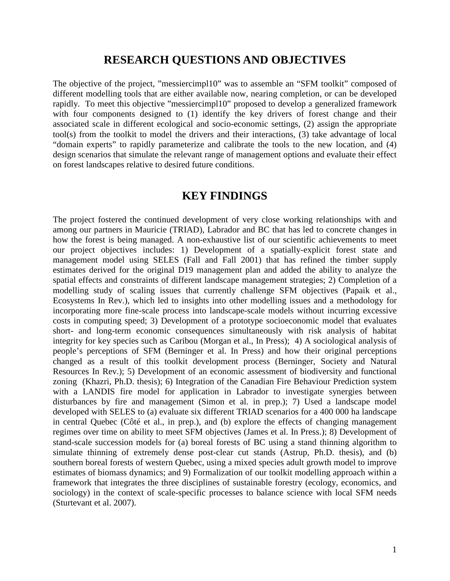#### **RESEARCH QUESTIONS AND OBJECTIVES**

The objective of the project, "messiercimpl10" was to assemble an "SFM toolkit" composed of different modelling tools that are either available now, nearing completion, or can be developed rapidly. To meet this objective "messiercimpl10" proposed to develop a generalized framework with four components designed to (1) identify the key drivers of forest change and their associated scale in different ecological and socio-economic settings, (2) assign the appropriate tool(s) from the toolkit to model the drivers and their interactions, (3) take advantage of local "domain experts" to rapidly parameterize and calibrate the tools to the new location, and (4) design scenarios that simulate the relevant range of management options and evaluate their effect on forest landscapes relative to desired future conditions.

#### **KEY FINDINGS**

The project fostered the continued development of very close working relationships with and among our partners in Mauricie (TRIAD), Labrador and BC that has led to concrete changes in how the forest is being managed. A non-exhaustive list of our scientific achievements to meet our project objectives includes: 1) Development of a spatially-explicit forest state and management model using SELES (Fall and Fall 2001) that has refined the timber supply estimates derived for the original D19 management plan and added the ability to analyze the spatial effects and constraints of different landscape management strategies; 2) Completion of a modelling study of scaling issues that currently challenge SFM objectives (Papaik et al., Ecosystems In Rev.), which led to insights into other modelling issues and a methodology for incorporating more fine-scale process into landscape-scale models without incurring excessive costs in computing speed; 3) Development of a prototype socioeconomic model that evaluates short- and long-term economic consequences simultaneously with risk analysis of habitat integrity for key species such as Caribou (Morgan et al., In Press); 4) A sociological analysis of people's perceptions of SFM (Berninger et al. In Press) and how their original perceptions changed as a result of this toolkit development process (Berninger, Society and Natural Resources In Rev.); 5) Development of an economic assessment of biodiversity and functional zoning (Khazri, Ph.D. thesis); 6) Integration of the Canadian Fire Behaviour Prediction system with a LANDIS fire model for application in Labrador to investigate synergies between disturbances by fire and management (Simon et al. in prep.); 7) Used a landscape model developed with SELES to (a) evaluate six different TRIAD scenarios for a 400 000 ha landscape in central Quebec (Côté et al., in prep.), and (b) explore the effects of changing management regimes over time on ability to meet SFM objectives (James et al. In Press.); 8) Development of stand-scale succession models for (a) boreal forests of BC using a stand thinning algorithm to simulate thinning of extremely dense post-clear cut stands (Astrup, Ph.D. thesis), and (b) southern boreal forests of western Quebec, using a mixed species adult growth model to improve estimates of biomass dynamics; and 9) Formalization of our toolkit modelling approach within a framework that integrates the three disciplines of sustainable forestry (ecology, economics, and sociology) in the context of scale-specific processes to balance science with local SFM needs (Sturtevant et al. 2007).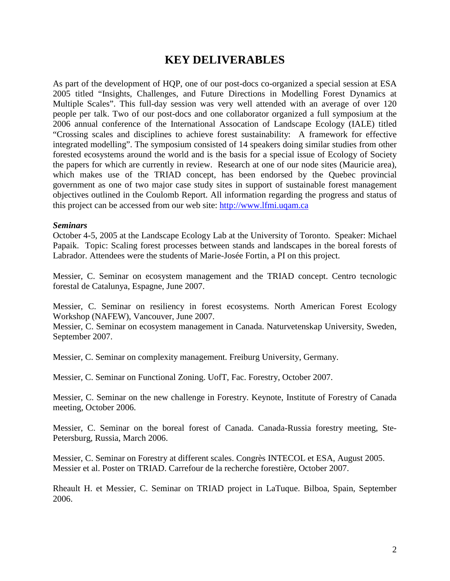## **KEY DELIVERABLES**

As part of the development of HQP, one of our post-docs co-organized a special session at ESA 2005 titled "Insights, Challenges, and Future Directions in Modelling Forest Dynamics at Multiple Scales". This full-day session was very well attended with an average of over 120 people per talk. Two of our post-docs and one collaborator organized a full symposium at the 2006 annual conference of the International Assocation of Landscape Ecology (IALE) titled "Crossing scales and disciplines to achieve forest sustainability: A framework for effective integrated modelling". The symposium consisted of 14 speakers doing similar studies from other forested ecosystems around the world and is the basis for a special issue of Ecology of Society the papers for which are currently in review. Research at one of our node sites (Mauricie area), which makes use of the TRIAD concept, has been endorsed by the Quebec provincial government as one of two major case study sites in support of sustainable forest management objectives outlined in the Coulomb Report. All information regarding the progress and status of this project can be accessed from our web site: http://www.lfmi.uqam.ca

#### *Seminars*

October 4-5, 2005 at the Landscape Ecology Lab at the University of Toronto. Speaker: Michael Papaik. Topic: Scaling forest processes between stands and landscapes in the boreal forests of Labrador. Attendees were the students of Marie-Josée Fortin, a PI on this project.

Messier, C. Seminar on ecosystem management and the TRIAD concept. Centro tecnologic forestal de Catalunya, Espagne, June 2007.

Messier, C. Seminar on resiliency in forest ecosystems. North American Forest Ecology Workshop (NAFEW), Vancouver, June 2007.

Messier, C. Seminar on ecosystem management in Canada. Naturvetenskap University, Sweden, September 2007.

Messier, C. Seminar on complexity management. Freiburg University, Germany.

Messier, C. Seminar on Functional Zoning. UofT, Fac. Forestry, October 2007.

Messier, C. Seminar on the new challenge in Forestry. Keynote, Institute of Forestry of Canada meeting, October 2006.

Messier, C. Seminar on the boreal forest of Canada. Canada-Russia forestry meeting, Ste-Petersburg, Russia, March 2006.

Messier, C. Seminar on Forestry at different scales. Congrès INTECOL et ESA, August 2005. Messier et al. Poster on TRIAD. Carrefour de la recherche forestière, October 2007.

Rheault H. et Messier, C. Seminar on TRIAD project in LaTuque. Bilboa, Spain, September 2006.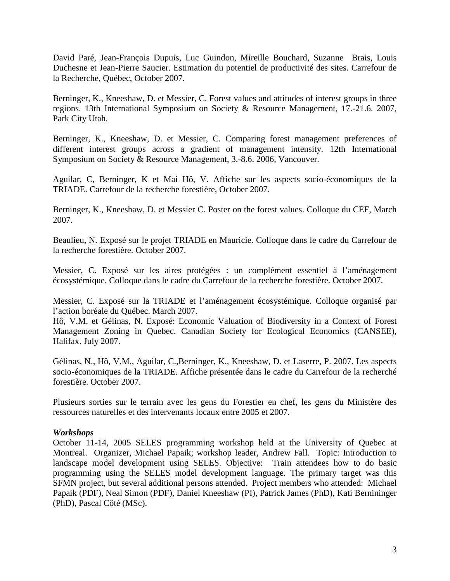David Paré, Jean-François Dupuis, Luc Guindon, Mireille Bouchard, Suzanne Brais, Louis Duchesne et Jean-Pierre Saucier. Estimation du potentiel de productivité des sites. Carrefour de la Recherche, Québec, October 2007.

Berninger, K., Kneeshaw, D. et Messier, C. Forest values and attitudes of interest groups in three regions. 13th International Symposium on Society & Resource Management, 17.-21.6. 2007, Park City Utah.

Berninger, K., Kneeshaw, D. et Messier, C. Comparing forest management preferences of different interest groups across a gradient of management intensity. 12th International Symposium on Society & Resource Management, 3.-8.6. 2006, Vancouver.

Aguilar, C, Berninger, K et Mai Hô, V. Affiche sur les aspects socio-économiques de la TRIADE. Carrefour de la recherche forestière, October 2007.

Berninger, K., Kneeshaw, D. et Messier C. Poster on the forest values. Colloque du CEF, March 2007.

Beaulieu, N. Exposé sur le projet TRIADE en Mauricie. Colloque dans le cadre du Carrefour de la recherche forestière. October 2007.

Messier, C. Exposé sur les aires protégées : un complément essentiel à l'aménagement écosystémique. Colloque dans le cadre du Carrefour de la recherche forestière. October 2007.

Messier, C. Exposé sur la TRIADE et l'aménagement écosystémique. Colloque organisé par l'action boréale du Québec. March 2007.

Hô, V.M. et Gélinas, N. Exposé: Economic Valuation of Biodiversity in a Context of Forest Management Zoning in Quebec. Canadian Society for Ecological Economics (CANSEE), Halifax. July 2007.

Gélinas, N., Hô, V.M., Aguilar, C.,Berninger, K., Kneeshaw, D. et Laserre, P. 2007. Les aspects socio-économiques de la TRIADE. Affiche présentée dans le cadre du Carrefour de la recherché forestière. October 2007.

Plusieurs sorties sur le terrain avec les gens du Forestier en chef, les gens du Ministère des ressources naturelles et des intervenants locaux entre 2005 et 2007.

#### *Workshops*

October 11-14, 2005 SELES programming workshop held at the University of Quebec at Montreal. Organizer, Michael Papaik; workshop leader, Andrew Fall. Topic: Introduction to landscape model development using SELES. Objective: Train attendees how to do basic programming using the SELES model development language. The primary target was this SFMN project, but several additional persons attended. Project members who attended: Michael Papaik (PDF), Neal Simon (PDF), Daniel Kneeshaw (PI), Patrick James (PhD), Kati Bernininger (PhD), Pascal Côté (MSc).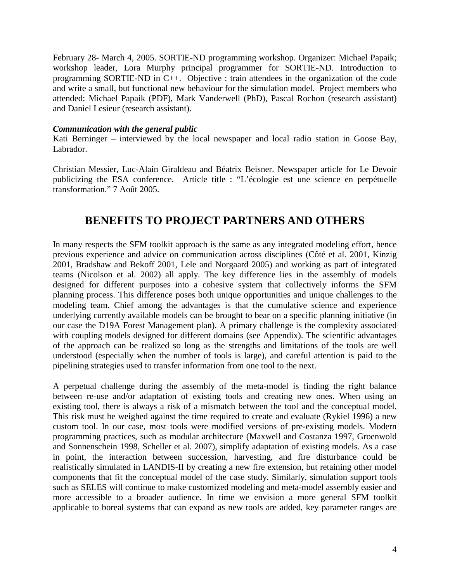February 28- March 4, 2005. SORTIE-ND programming workshop. Organizer: Michael Papaik; workshop leader, Lora Murphy principal programmer for SORTIE-ND. Introduction to programming SORTIE-ND in C++. Objective : train attendees in the organization of the code and write a small, but functional new behaviour for the simulation model. Project members who attended: Michael Papaik (PDF), Mark Vanderwell (PhD), Pascal Rochon (research assistant) and Daniel Lesieur (research assistant).

#### *Communication with the general public*

Kati Berninger – interviewed by the local newspaper and local radio station in Goose Bay, Labrador.

Christian Messier, Luc-Alain Giraldeau and Béatrix Beisner. Newspaper article for Le Devoir publicizing the ESA conference. Article title : "L'écologie est une science en perpétuelle transformation." 7 Août 2005.

## **BENEFITS TO PROJECT PARTNERS AND OTHERS**

In many respects the SFM toolkit approach is the same as any integrated modeling effort, hence previous experience and advice on communication across disciplines (Côté et al. 2001, Kinzig 2001, Bradshaw and Bekoff 2001, Lele and Norgaard 2005) and working as part of integrated teams (Nicolson et al. 2002) all apply. The key difference lies in the assembly of models designed for different purposes into a cohesive system that collectively informs the SFM planning process. This difference poses both unique opportunities and unique challenges to the modeling team. Chief among the advantages is that the cumulative science and experience underlying currently available models can be brought to bear on a specific planning initiative (in our case the D19A Forest Management plan). A primary challenge is the complexity associated with coupling models designed for different domains (see Appendix). The scientific advantages of the approach can be realized so long as the strengths and limitations of the tools are well understood (especially when the number of tools is large), and careful attention is paid to the pipelining strategies used to transfer information from one tool to the next.

A perpetual challenge during the assembly of the meta-model is finding the right balance between re-use and/or adaptation of existing tools and creating new ones. When using an existing tool, there is always a risk of a mismatch between the tool and the conceptual model. This risk must be weighed against the time required to create and evaluate (Rykiel 1996) a new custom tool. In our case, most tools were modified versions of pre-existing models. Modern programming practices, such as modular architecture (Maxwell and Costanza 1997, Groenwold and Sonnenschein 1998, Scheller et al. 2007), simplify adaptation of existing models. As a case in point, the interaction between succession, harvesting, and fire disturbance could be realistically simulated in LANDIS-II by creating a new fire extension, but retaining other model components that fit the conceptual model of the case study. Similarly, simulation support tools such as SELES will continue to make customized modeling and meta-model assembly easier and more accessible to a broader audience. In time we envision a more general SFM toolkit applicable to boreal systems that can expand as new tools are added, key parameter ranges are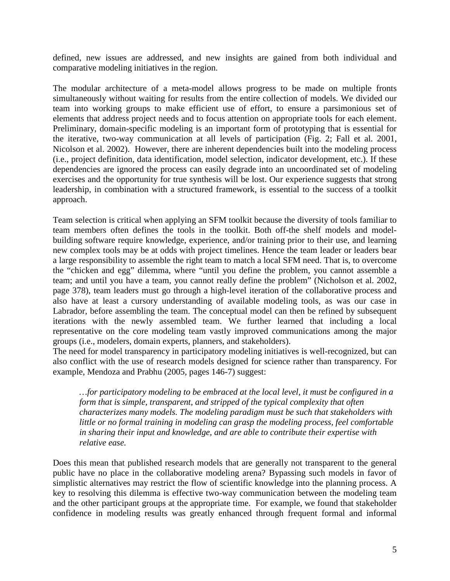defined, new issues are addressed, and new insights are gained from both individual and comparative modeling initiatives in the region.

The modular architecture of a meta-model allows progress to be made on multiple fronts simultaneously without waiting for results from the entire collection of models. We divided our team into working groups to make efficient use of effort, to ensure a parsimonious set of elements that address project needs and to focus attention on appropriate tools for each element. Preliminary, domain-specific modeling is an important form of prototyping that is essential for the iterative, two-way communication at all levels of participation (Fig. 2; Fall et al. 2001, Nicolson et al. 2002). However, there are inherent dependencies built into the modeling process (i.e., project definition, data identification, model selection, indicator development, etc.). If these dependencies are ignored the process can easily degrade into an uncoordinated set of modeling exercises and the opportunity for true synthesis will be lost. Our experience suggests that strong leadership, in combination with a structured framework, is essential to the success of a toolkit approach.

Team selection is critical when applying an SFM toolkit because the diversity of tools familiar to team members often defines the tools in the toolkit. Both off-the shelf models and modelbuilding software require knowledge, experience, and/or training prior to their use, and learning new complex tools may be at odds with project timelines. Hence the team leader or leaders bear a large responsibility to assemble the right team to match a local SFM need. That is, to overcome the "chicken and egg" dilemma, where "until you define the problem, you cannot assemble a team; and until you have a team, you cannot really define the problem" (Nicholson et al. 2002, page 378), team leaders must go through a high-level iteration of the collaborative process and also have at least a cursory understanding of available modeling tools, as was our case in Labrador, before assembling the team. The conceptual model can then be refined by subsequent iterations with the newly assembled team. We further learned that including a local representative on the core modeling team vastly improved communications among the major groups (i.e., modelers, domain experts, planners, and stakeholders).

The need for model transparency in participatory modeling initiatives is well-recognized, but can also conflict with the use of research models designed for science rather than transparency. For example, Mendoza and Prabhu (2005, pages 146-7) suggest:

*…for participatory modeling to be embraced at the local level, it must be configured in a form that is simple, transparent, and stripped of the typical complexity that often characterizes many models. The modeling paradigm must be such that stakeholders with little or no formal training in modeling can grasp the modeling process, feel comfortable in sharing their input and knowledge, and are able to contribute their expertise with relative ease.* 

Does this mean that published research models that are generally not transparent to the general public have no place in the collaborative modeling arena? Bypassing such models in favor of simplistic alternatives may restrict the flow of scientific knowledge into the planning process. A key to resolving this dilemma is effective two-way communication between the modeling team and the other participant groups at the appropriate time. For example, we found that stakeholder confidence in modeling results was greatly enhanced through frequent formal and informal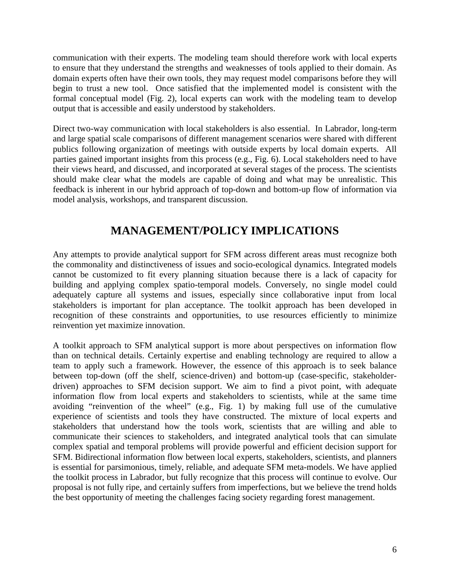communication with their experts. The modeling team should therefore work with local experts to ensure that they understand the strengths and weaknesses of tools applied to their domain. As domain experts often have their own tools, they may request model comparisons before they will begin to trust a new tool. Once satisfied that the implemented model is consistent with the formal conceptual model (Fig. 2), local experts can work with the modeling team to develop output that is accessible and easily understood by stakeholders.

Direct two-way communication with local stakeholders is also essential. In Labrador, long-term and large spatial scale comparisons of different management scenarios were shared with different publics following organization of meetings with outside experts by local domain experts. All parties gained important insights from this process (e.g., Fig. 6). Local stakeholders need to have their views heard, and discussed, and incorporated at several stages of the process. The scientists should make clear what the models are capable of doing and what may be unrealistic. This feedback is inherent in our hybrid approach of top-down and bottom-up flow of information via model analysis, workshops, and transparent discussion.

## **MANAGEMENT/POLICY IMPLICATIONS**

Any attempts to provide analytical support for SFM across different areas must recognize both the commonality and distinctiveness of issues and socio-ecological dynamics. Integrated models cannot be customized to fit every planning situation because there is a lack of capacity for building and applying complex spatio-temporal models. Conversely, no single model could adequately capture all systems and issues, especially since collaborative input from local stakeholders is important for plan acceptance. The toolkit approach has been developed in recognition of these constraints and opportunities, to use resources efficiently to minimize reinvention yet maximize innovation.

A toolkit approach to SFM analytical support is more about perspectives on information flow than on technical details. Certainly expertise and enabling technology are required to allow a team to apply such a framework. However, the essence of this approach is to seek balance between top-down (off the shelf, science-driven) and bottom-up (case-specific, stakeholderdriven) approaches to SFM decision support. We aim to find a pivot point, with adequate information flow from local experts and stakeholders to scientists, while at the same time avoiding "reinvention of the wheel" (e.g., Fig. 1) by making full use of the cumulative experience of scientists and tools they have constructed. The mixture of local experts and stakeholders that understand how the tools work, scientists that are willing and able to communicate their sciences to stakeholders, and integrated analytical tools that can simulate complex spatial and temporal problems will provide powerful and efficient decision support for SFM. Bidirectional information flow between local experts, stakeholders, scientists, and planners is essential for parsimonious, timely, reliable, and adequate SFM meta-models. We have applied the toolkit process in Labrador, but fully recognize that this process will continue to evolve. Our proposal is not fully ripe, and certainly suffers from imperfections, but we believe the trend holds the best opportunity of meeting the challenges facing society regarding forest management.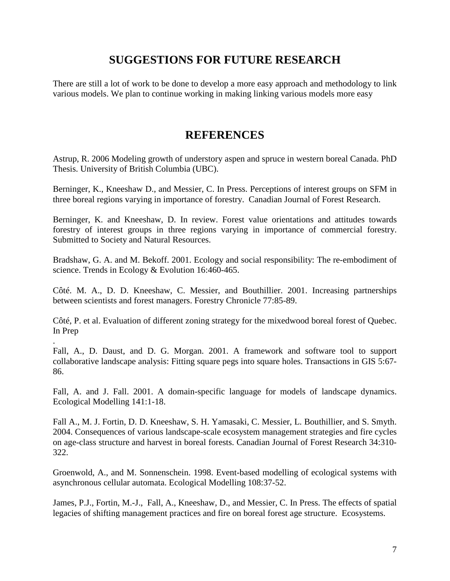## **SUGGESTIONS FOR FUTURE RESEARCH**

There are still a lot of work to be done to develop a more easy approach and methodology to link various models. We plan to continue working in making linking various models more easy

## **REFERENCES**

Astrup, R. 2006 Modeling growth of understory aspen and spruce in western boreal Canada. PhD Thesis. University of British Columbia (UBC).

Berninger, K., Kneeshaw D., and Messier, C. In Press. Perceptions of interest groups on SFM in three boreal regions varying in importance of forestry. Canadian Journal of Forest Research.

Berninger, K. and Kneeshaw, D. In review. Forest value orientations and attitudes towards forestry of interest groups in three regions varying in importance of commercial forestry. Submitted to Society and Natural Resources.

Bradshaw, G. A. and M. Bekoff. 2001. Ecology and social responsibility: The re-embodiment of science. Trends in Ecology & Evolution 16:460-465.

Côté. M. A., D. D. Kneeshaw, C. Messier, and Bouthillier. 2001. Increasing partnerships between scientists and forest managers. Forestry Chronicle 77:85-89.

Côté, P. et al. Evaluation of different zoning strategy for the mixedwood boreal forest of Quebec. In Prep

.

Fall, A., D. Daust, and D. G. Morgan. 2001. A framework and software tool to support collaborative landscape analysis: Fitting square pegs into square holes. Transactions in GIS 5:67- 86.

Fall, A. and J. Fall. 2001. A domain-specific language for models of landscape dynamics. Ecological Modelling 141:1-18.

Fall A., M. J. Fortin, D. D. Kneeshaw, S. H. Yamasaki, C. Messier, L. Bouthillier, and S. Smyth. 2004. Consequences of various landscape-scale ecosystem management strategies and fire cycles on age-class structure and harvest in boreal forests. Canadian Journal of Forest Research 34:310- 322.

Groenwold, A., and M. Sonnenschein. 1998. Event-based modelling of ecological systems with asynchronous cellular automata. Ecological Modelling 108:37-52.

James, P.J., Fortin, M.-J., Fall, A., Kneeshaw, D., and Messier, C. In Press. The effects of spatial legacies of shifting management practices and fire on boreal forest age structure. Ecosystems.